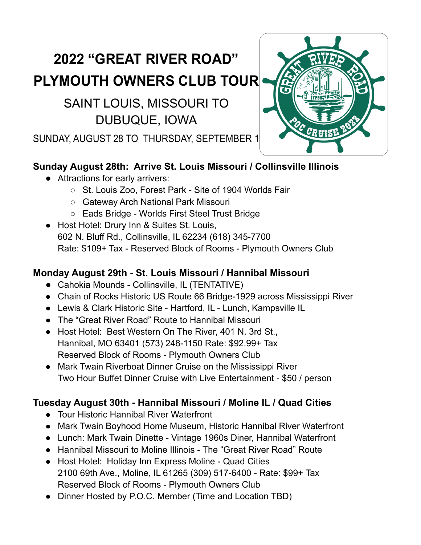# **2022 "GREAT RIVER ROAD" PLYMOUTH OWNERS CLUB TOUR**

## SAINT LOUIS, MISSOURI TO DUBUQUE, IOWA

SUNDAY, AUGUST 28 TO THURSDAY, SEPTEMBER 1

### **Sunday August 28th: Arrive St. Louis Missouri / Collinsville Illinois**

- Attractions for early arrivers:
	- St. Louis Zoo, Forest Park Site of 1904 Worlds Fair
	- Gateway Arch National Park Missouri
	- Eads Bridge Worlds First Steel Trust Bridge
- Host Hotel: Drury Inn & Suites St. Louis, 602 N. Bluff Rd., Collinsville, IL 62234 (618) 345-7700 Rate: \$109+ Tax - Reserved Block of Rooms - Plymouth Owners Club

### **Monday August 29th - St. Louis Missouri / Hannibal Missouri**

- Cahokia Mounds Collinsville, IL (TENTATIVE)
- Chain of Rocks Historic US Route 66 Bridge-1929 across Mississippi River
- Lewis & Clark Historic Site Hartford, IL Lunch, Kampsville IL
- The "Great River Road" Route to Hannibal Missouri
- Host Hotel: Best Western On The River, 401 N. 3rd St., Hannibal, MO 63401 (573) 248-1150 Rate: \$92.99+ Tax Reserved Block of Rooms - Plymouth Owners Club
- Mark Twain Riverboat Dinner Cruise on the Mississippi River Two Hour Buffet Dinner Cruise with Live Entertainment - \$50 / person

### **Tuesday August 30th - Hannibal Missouri / Moline IL / Quad Cities**

- Tour Historic Hannibal River Waterfront
- Mark Twain Boyhood Home Museum, Historic Hannibal River Waterfront
- Lunch: Mark Twain Dinette Vintage 1960s Diner, Hannibal Waterfront
- Hannibal Missouri to Moline Illinois The "Great River Road" Route
- Host Hotel: Holiday Inn Express Moline Quad Cities 2100 69th Ave., Moline, IL 61265 (309) 517-6400 - Rate: \$99+ Tax Reserved Block of Rooms - Plymouth Owners Club
- Dinner Hosted by P.O.C. Member (Time and Location TBD)